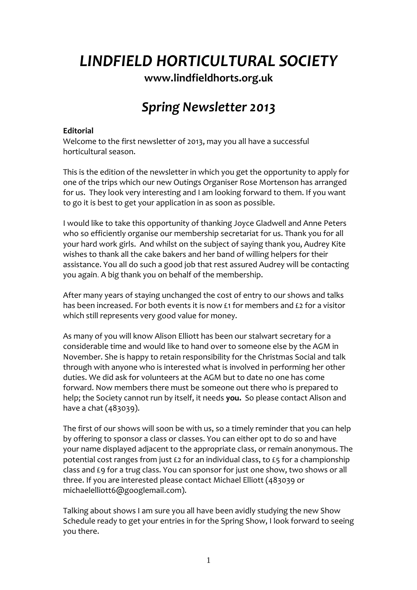# *LINDFIELD HORTICULTURAL SOCIETY*

**[www.lindfieldhorts.org.uk](http://www.lindfieldhorts.org.uk/)**

## *Spring Newsletter 2013*

## **Editorial**

Welcome to the first newsletter of 2013, may you all have a successful horticultural season.

This is the edition of the newsletter in which you get the opportunity to apply for one of the trips which our new Outings Organiser Rose Mortenson has arranged for us. They look very interesting and I am looking forward to them. If you want to go it is best to get your application in as soon as possible.

I would like to take this opportunity of thanking Joyce Gladwell and Anne Peters who so efficiently organise our membership secretariat for us. Thank you for all your hard work girls. And whilst on the subject of saying thank you, Audrey Kite wishes to thank all the cake bakers and her band of willing helpers for their assistance. You all do such a good job that rest assured Audrey will be contacting you again. A big thank you on behalf of the membership.

After many years of staying unchanged the cost of entry to our shows and talks has been increased. For both events it is now £1 for members and £2 for a visitor which still represents very good value for money.

As many of you will know Alison Elliott has been our stalwart secretary for a considerable time and would like to hand over to someone else by the AGM in November. She is happy to retain responsibility for the Christmas Social and talk through with anyone who is interested what is involved in performing her other duties. We did ask for volunteers at the AGM but to date no one has come forward. Now members there must be someone out there who is prepared to help; the Society cannot run by itself, it needs **you.** So please contact Alison and have a chat (483039).

The first of our shows will soon be with us, so a timely reminder that you can help by offering to sponsor a class or classes. You can either opt to do so and have your name displayed adjacent to the appropriate class, or remain anonymous. The potential cost ranges from just £2 for an individual class, to £5 for a championship class and £9 for a trug class. You can sponsor for just one show, two shows or all three. If you are interested please contact Michael Elliott (483039 or michaelelliott6@googlemail.com).

Talking about shows I am sure you all have been avidly studying the new Show Schedule ready to get your entries in for the Spring Show, I look forward to seeing you there.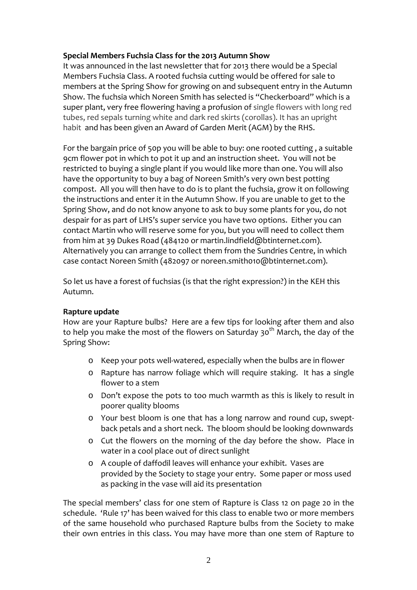## **Special Members Fuchsia Class for the 2013 Autumn Show**

It was announced in the last newsletter that for 2013 there would be a Special Members Fuchsia Class. A rooted fuchsia cutting would be offered for sale to members at the Spring Show for growing on and subsequent entry in the Autumn Show. The fuchsia which Noreen Smith has selected is "Checkerboard" which is a super plant, very free flowering having a profusion of single flowers with long red tubes, red sepals turning white and dark red skirts (corollas). It has an upright habit and has been given an Award of Garden Merit (AGM) by the RHS.

For the bargain price of 50p you will be able to buy: one rooted cutting , a suitable 9cm flower pot in which to pot it up and an instruction sheet. You will not be restricted to buying a single plant if you would like more than one. You will also have the opportunity to buy a bag of Noreen Smith's very own best potting compost. All you will then have to do is to plant the fuchsia, grow it on following the instructions and enter it in the Autumn Show. If you are unable to get to the Spring Show, and do not know anyone to ask to buy some plants for you, do not despair for as part of LHS's super service you have two options. Either you can contact Martin who will reserve some for you, but you will need to collect them from him at 39 Dukes Road (484120 or [martin.lindfield@btinternet.com\)](mailto:martin.lindfield@btinternet.com). Alternatively you can arrange to collect them from the Sundries Centre, in which case contact Noreen Smith (482097 or noreen.smith010@btinternet.com).

So let us have a forest of fuchsias (is that the right expression?) in the KEH this Autumn.

### **Rapture update**

How are your Rapture bulbs? Here are a few tips for looking after them and also to help you make the most of the flowers on Saturday 30<sup>th</sup> March, the day of the Spring Show:

- o Keep your pots well‐watered, especially when the bulbs are in flower
- o Rapture has narrow foliage which will require staking. It has a single flower to a stem
- o Don't expose the pots to too much warmth as this is likely to result in poorer quality blooms
- o Your best bloom is one that has a long narrow and round cup, swept‐ back petals and a short neck. The bloom should be looking downwards
- o Cut the flowers on the morning of the day before the show. Place in water in a cool place out of direct sunlight
- o A couple of daffodil leaves will enhance your exhibit. Vases are provided by the Society to stage your entry. Some paper or moss used as packing in the vase will aid its presentation

The special members' class for one stem of Rapture is Class 12 on page 20 in the schedule. 'Rule 17' has been waived for this class to enable two or more members of the same household who purchased Rapture bulbs from the Society to make their own entries in this class. You may have more than one stem of Rapture to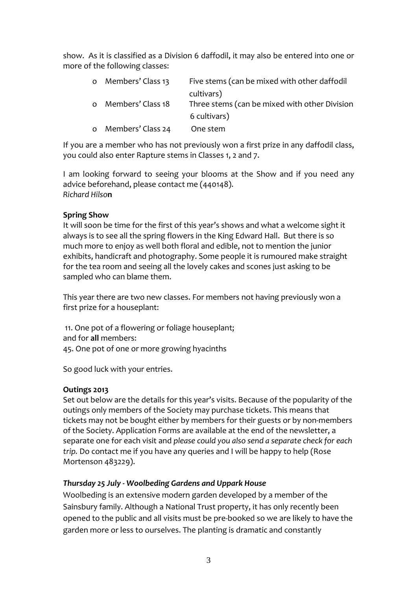show. As it is classified as a Division 6 daffodil, it may also be entered into one or more of the following classes:

|          | o Members' Class 13 | Five stems (can be mixed with other daffodil  |
|----------|---------------------|-----------------------------------------------|
|          |                     | cultivars)                                    |
| $\Omega$ | Members' Class 18   | Three stems (can be mixed with other Division |
|          |                     | 6 cultivars)                                  |
| $\Omega$ | Members' Class 24   | One stem                                      |

If you are a member who has not previously won a first prize in any daffodil class, you could also enter Rapture stems in Classes 1, 2 and 7.

I am looking forward to seeing your blooms at the Show and if you need any advice beforehand, please contact me (440148). *Richard Hilso***n**

## **Spring Show**

It will soon be time for the first of this year's shows and what a welcome sight it always is to see all the spring flowers in the King Edward Hall. But there is so much more to enjoy as well both floral and edible, not to mention the junior exhibits, handicraft and photography. Some people it is rumoured make straight for the tea room and seeing all the lovely cakes and scones just asking to be sampled who can blame them.

This year there are two new classes. For members not having previously won a first prize for a houseplant:

11. One pot of a flowering or foliage houseplant; and for **all** members: 45. One pot of one or more growing hyacinths

So good luck with your entries.

## **Outings 2013**

Set out below are the details for this year's visits. Because of the popularity of the outings only members of the Society may purchase tickets. This means that tickets may not be bought either by members for their guests or by non‐members of the Society. Application Forms are available at the end of the newsletter, a separate one for each visit and *please could you also send a separate check for each trip.* Do contact me if you have any queries and I will be happy to help (Rose Mortenson 483229).

## *Thursday 25 July ‐ Woolbeding Gardens and Uppark House*

Woolbeding is an extensive modern garden developed by a member of the Sainsbury family. Although a National Trust property, it has only recently been opened to the public and all visits must be pre‐booked so we are likely to have the garden more or less to ourselves. The planting is dramatic and constantly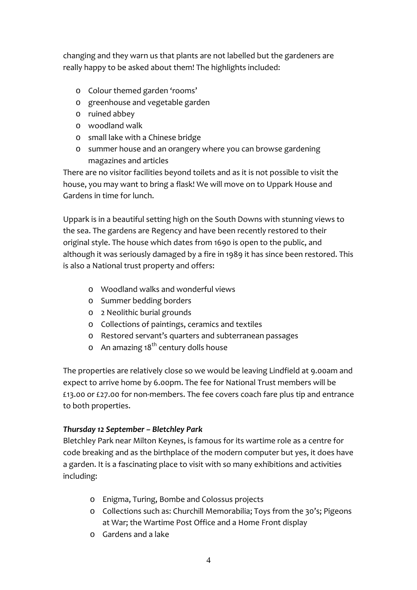changing and they warn us that plants are not labelled but the gardeners are really happy to be asked about them! The highlights included:

- o Colour themed garden 'rooms'
- o greenhouse and vegetable garden
- o ruined abbey
- o woodland walk
- o small lake with a Chinese bridge
- o summer house and an orangery where you can browse gardening magazines and articles

There are no visitor facilities beyond toilets and as it is not possible to visit the house, you may want to bring a flask! We will move on to Uppark House and Gardens in time for lunch.

Uppark is in a beautiful setting high on the South Downs with stunning views to the sea. The gardens are Regency and have been recently restored to their original style. The house which dates from 1690 is open to the public, and although it was seriously damaged by a fire in 1989 it has since been restored. This is also a National trust property and offers:

- o Woodland walks and wonderful views
- o Summer bedding borders
- o 2 Neolithic burial grounds
- o Collections of paintings, ceramics and textiles
- o Restored servant's quarters and subterranean passages
- $\circ$  An amazing 18<sup>th</sup> century dolls house

The properties are relatively close so we would be leaving Lindfield at 9.00am and expect to arrive home by 6.00pm. The fee for National Trust members will be £13.00 or £27.00 for non‐members. The fee covers coach fare plus tip and entrance to both properties.

## *Thursday 12 September – Bletchley Park*

Bletchley Park near Milton Keynes, is famous for its wartime role as a centre for code breaking and as the birthplace of the modern computer but yes, it does have a garden. It is a fascinating place to visit with so many exhibitions and activities including:

- o Enigma, Turing, Bombe and Colossus projects
- o Collections such as: Churchill Memorabilia; Toys from the 30's; Pigeons at War; the Wartime Post Office and a Home Front display
- o Gardens and a lake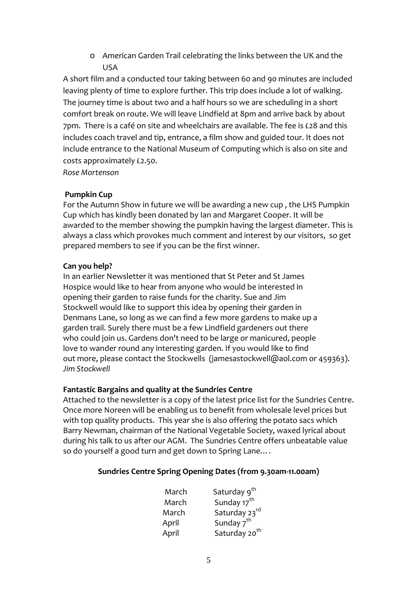o American Garden Trail celebrating the links between the UK and the USA

A short film and a conducted tour taking between 60 and 90 minutes are included leaving plenty of time to explore further. This trip does include a lot of walking. The journey time is about two and a half hours so we are scheduling in a short comfort break on route. We will leave Lindfield at 8pm and arrive back by about 7pm. There is a café on site and wheelchairs are available. The fee is £28 and this includes coach travel and tip, entrance, a film show and guided tour. It does not include entrance to the National Museum of Computing which is also on site and costs approximately £2.50.

*Rose Mortenson*

### **Pumpkin Cup**

For the Autumn Show in future we will be awarding a new cup , the LHS Pumpkin Cup which has kindly been donated by Ian and Margaret Cooper. It will be awarded to the member showing the pumpkin having the largest diameter. This is always a class which provokes much comment and interest by our visitors, so get prepared members to see if you can be the first winner.

## **Can you help?**

In an earlier Newsletter it was mentioned that St Peter and St James Hospice would like to hear from anyone who would be interested in opening their garden to raise funds for the charity. Sue and Jim Stockwell would like to support this idea by opening their garden in Denmans Lane, so long as we can find a few more gardens to make up a garden trail. Surely there must be a few Lindfield gardeners out there who could join us. Gardens don't need to be large or manicured, people love to wander round any interesting garden. If you would like to find out more, please contact the Stockwells (jamesastockwell@aol.com or 459363). *Jim Stockwell*

### **Fantastic Bargains and quality at the Sundries Centre**

Attached to the newsletter is a copy of the latest price list for the Sundries Centre. Once more Noreen will be enabling us to benefit from wholesale level prices but with top quality products. This year she is also offering the potato sacs which Barry Newman, chairman of the National Vegetable Society, waxed lyrical about during his talk to us after our AGM. The Sundries Centre offers unbeatable value so do yourself a good turn and get down to Spring Lane….

## **Sundries Centre Spring Opening Dates (from 9.30am‐11.00am)**

| March | Saturday 9 <sup>th</sup>  |
|-------|---------------------------|
| March | Sunday 17 <sup>th</sup>   |
| March | Saturday 23rd             |
| April | Sunday 7 <sup>th</sup>    |
| April | Saturday 20 <sup>th</sup> |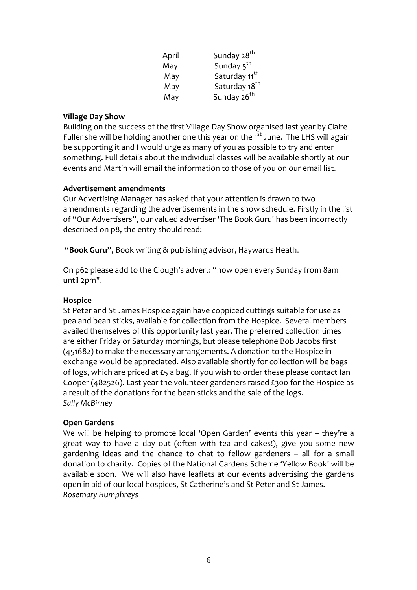| April | Sunday 28 <sup>th</sup>   |
|-------|---------------------------|
| May   | Sunday 5 <sup>th</sup>    |
| May   | Saturday 11 <sup>th</sup> |
| May   | Saturday 18 <sup>th</sup> |
| May   | Sunday 26 <sup>th</sup>   |

#### **Village Day Show**

Building on the success of the first Village Day Show organised last year by Claire Fuller she will be holding another one this year on the 1<sup>st</sup> June. The LHS will again be supporting it and I would urge as many of you as possible to try and enter something. Full details about the individual classes will be available shortly at our events and Martin will email the information to those of you on our email list.

#### **Advertisement amendments**

Our Advertising Manager has asked that your attention is drawn to two amendments regarding the advertisements in the show schedule. Firstly in the list of "Our Advertisers", our valued advertiser 'The Book Guru' has been incorrectly described on p8, the entry should read:

**"Book Guru"**, Book writing & publishing advisor, Haywards Heath.

On p62 please add to the Clough's advert: "now open every Sunday from 8am until 2pm".

### **Hospice**

St Peter and St James Hospice again have coppiced cuttings suitable for use as pea and bean sticks, available for collection from the Hospice. Several members availed themselves of this opportunity last year. The preferred collection times are either Friday or Saturday mornings, but please telephone Bob Jacobs first (451682) to make the necessary arrangements. A donation to the Hospice in exchange would be appreciated. Also available shortly for collection will be bags of logs, which are priced at £5 a bag. If you wish to order these please contact Ian Cooper (482526). Last year the volunteer gardeners raised £300 for the Hospice as a result of the donations for the bean sticks and the sale of the logs. *Sally McBirney*

#### **Open Gardens**

We will be helping to promote local 'Open Garden' events this year - they're a great way to have a day out (often with tea and cakes!), give you some new gardening ideas and the chance to chat to fellow gardeners – all for a small donation to charity. Copies of the National Gardens Scheme 'Yellow Book' will be available soon. We will also have leaflets at our events advertising the gardens open in aid of our local hospices, St Catherine's and St Peter and St James. *Rosemary Humphreys*